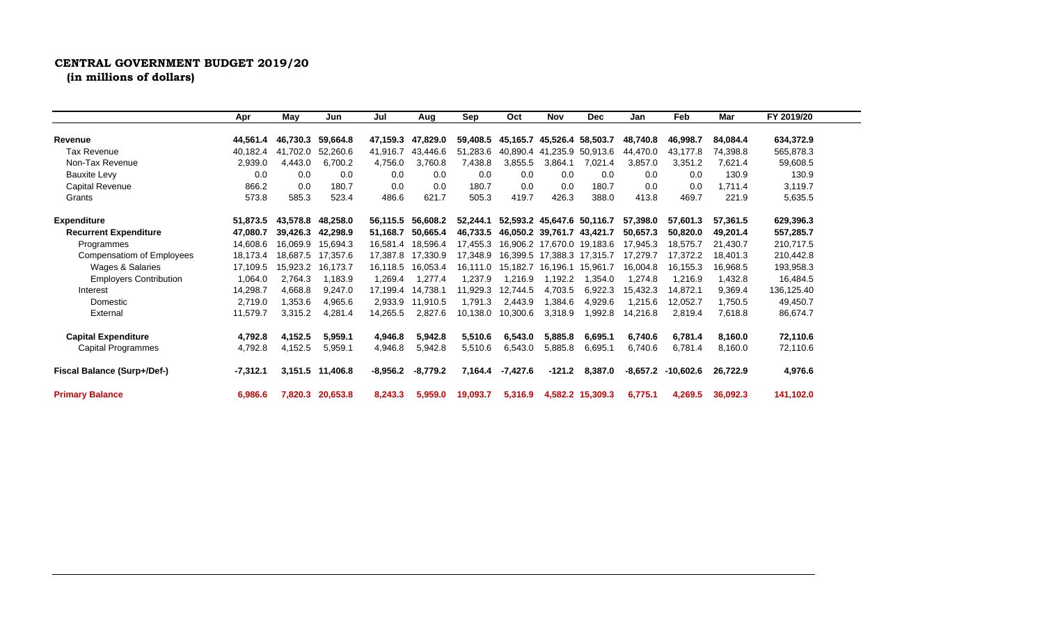## **CENTRAL GOVERNMENT BUDGET 2019/20**

**(in millions of dollars)**

|                               | Apr        | May      | Jun      | Jul        | Aug        | Sep      | Oct      | <b>Nov</b> | <b>Dec</b>                 | Jan      | Feb       | Mar      | FY 2019/20 |  |
|-------------------------------|------------|----------|----------|------------|------------|----------|----------|------------|----------------------------|----------|-----------|----------|------------|--|
|                               |            |          |          |            |            |          |          |            |                            |          |           |          |            |  |
| Revenue                       | 44,561.4   | 46,730.3 | 59,664.8 | 47,159.3   | 47,829.0   | 59,408.5 | 45,165.7 | 45,526.4   | 58,503.7                   | 48.740.8 | 46.998.7  | 84,084.4 | 634,372.9  |  |
| <b>Tax Revenue</b>            | 40.182.4   | 41,702.0 | 52.260.6 | 41.916.7   | 43.446.6   | 51,283.6 | 40.890.4 | 41.235.9   | 50.913.6                   | 44.470.0 | 43.177.8  | 74,398.8 | 565,878.3  |  |
| Non-Tax Revenue               | 2,939.0    | 4.443.0  | 6,700.2  | 4,756.0    | 3,760.8    | 7,438.8  | 3,855.5  | 3,864.1    | 7,021.4                    | 3,857.0  | 3,351.2   | 7,621.4  | 59,608.5   |  |
| <b>Bauxite Levy</b>           | 0.0        | 0.0      | 0.0      | 0.0        | 0.0        | 0.0      | 0.0      | 0.0        | 0.0                        | 0.0      | 0.0       | 130.9    | 130.9      |  |
| Capital Revenue               | 866.2      | 0.0      | 180.7    | 0.0        | 0.0        | 180.7    | 0.0      | 0.0        | 180.7                      | 0.0      | 0.0       | 1.711.4  | 3,119.7    |  |
| Grants                        | 573.8      | 585.3    | 523.4    | 486.6      | 621.7      | 505.3    | 419.7    | 426.3      | 388.0                      | 413.8    | 469.7     | 221.9    | 5,635.5    |  |
| <b>Expenditure</b>            | 51,873.5   | 43.578.8 | 48.258.0 | 56,115.5   | 56.608.2   | 52,244.1 |          |            | 52,593.2 45,647.6 50,116.7 | 57,398.0 | 57.601.3  | 57.361.5 | 629,396.3  |  |
| <b>Recurrent Expenditure</b>  | 47,080.7   | 39.426.3 | 42,298.9 | 51.168.7   | 50.665.4   | 46,733.5 | 46.050.2 | 39.761.7   | 43.421.7                   | 50,657.3 | 50.820.0  | 49,201.4 | 557,285.7  |  |
| Programmes                    | 14,608.6   | 16.069.9 | 15,694.3 | 16,581.4   | 18,596.4   | 17,455.3 | 16.906.2 |            | 17,670.0 19,183.6          | 17,945.3 | 18.575.7  | 21,430.7 | 210,717.5  |  |
| Compensatiom of Employees     | 18,173.4   | 18,687.5 | 17,357.6 | 17,387.8   | 17,330.9   | 17,348.9 | 16.399.5 | 17,388.3   | 17.315.7                   | 17.279.7 | 17,372.2  | 18.401.3 | 210,442.8  |  |
| Wages & Salaries              | 17.109.5   | 15.923.2 | 16.173.7 | 16.118.5   | 16,053.4   | 16,111.0 | 15,182.7 | 16.196.1   | 15.961.7                   | 16.004.8 | 16.155.3  | 16,968.5 | 193,958.3  |  |
| <b>Employers Contribution</b> | 1,064.0    | 2,764.3  | 1,183.9  | 1,269.4    | 1,277.4    | 1,237.9  | 1,216.9  | 1.192.2    | 1,354.0                    | .274.8   | 1,216.9   | 1,432.8  | 16,484.5   |  |
| Interest                      | 14,298.7   | 4,668.8  | 9,247.0  | 17,199.4   | 4,738.1    | 11,929.3 | 12,744.5 | 4.703.5    | 6,922.3                    | 15,432.3 | 14,872.1  | 9,369.4  | 136,125.40 |  |
| Domestic                      | 2,719.0    | 1,353.6  | 4,965.6  | 2,933.9    | 1.910.5    | 1,791.3  | 2,443.9  | 1,384.6    | 4,929.6                    | 1,215.6  | 12,052.7  | 1,750.5  | 49,450.7   |  |
| External                      | 11,579.7   | 3,315.2  | 4,281.4  | 14.265.5   | 2.827.6    | 10.138.0 | 10,300.6 | 3,318.9    | 1,992.8                    | 4,216.8  | 2,819.4   | 7,618.8  | 86,674.7   |  |
| <b>Capital Expenditure</b>    | 4,792.8    | 4,152.5  | 5,959.1  | 4,946.8    | 5,942.8    | 5,510.6  | 6,543.0  | 5,885.8    | 6,695.1                    | 6,740.6  | 6,781.4   | 8,160.0  | 72,110.6   |  |
| Capital Programmes            | 4,792.8    | 4,152.5  | 5,959.1  | 4,946.8    | 5,942.8    | 5,510.6  | 6,543.0  | 5,885.8    | 6,695.1                    | 6,740.6  | 6,781.4   | 8,160.0  | 72,110.6   |  |
| Fiscal Balance (Surp+/Def-)   | $-7,312.1$ | 3,151.5  | 11,406.8 | $-8,956.2$ | $-8,779.2$ | 7,164.4  | -7,427.6 | $-121.2$   | 8,387.0                    | -8,657.2 | -10,602.6 | 26,722.9 | 4,976.6    |  |
| <b>Primary Balance</b>        | 6,986.6    | 7.820.3  | 20,653.8 | 8,243.3    | 5,959.0    | 19,093.7 | 5,316.9  |            | 4,582.2 15,309.3           | 6,775.1  | 4,269.5   | 36.092.3 | 141,102.0  |  |